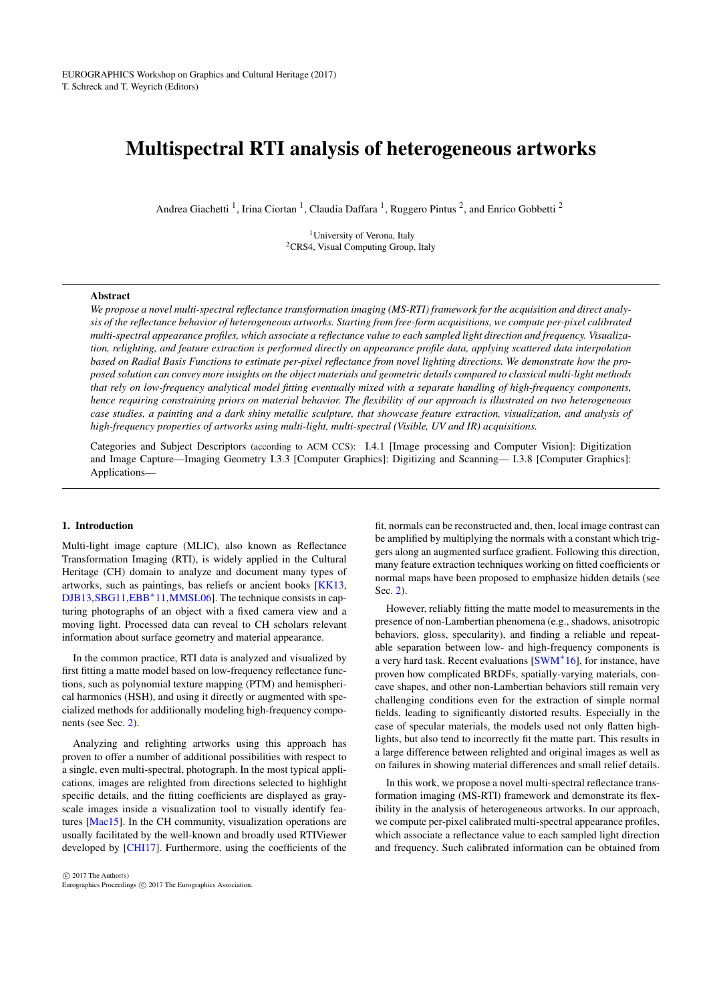# <span id="page-0-0"></span>Multispectral RTI analysis of heterogeneous artworks

Andrea Giachetti<sup>1</sup>, Irina Ciortan<sup>1</sup>, Claudia Daffara<sup>1</sup>, Ruggero Pintus<sup>2</sup>, and Enrico Gobbetti<sup>2</sup>

<sup>1</sup>University of Verona, Italy <sup>2</sup>CRS4, Visual Computing Group, Italy

## Abstract

*We propose a novel multi-spectral reflectance transformation imaging (MS-RTI) framework for the acquisition and direct analysis of the reflectance behavior of heterogeneous artworks. Starting from free-form acquisitions, we compute per-pixel calibrated multi-spectral appearance profiles, which associate a reflectance value to each sampled light direction and frequency. Visualization, relighting, and feature extraction is performed directly on appearance profile data, applying scattered data interpolation based on Radial Basis Functions to estimate per-pixel reflectance from novel lighting directions. We demonstrate how the proposed solution can convey more insights on the object materials and geometric details compared to classical multi-light methods that rely on low-frequency analytical model fitting eventually mixed with a separate handling of high-frequency components, hence requiring constraining priors on material behavior. The flexibility of our approach is illustrated on two heterogeneous case studies, a painting and a dark shiny metallic sculpture, that showcase feature extraction, visualization, and analysis of high-frequency properties of artworks using multi-light, multi-spectral (Visible, UV and IR) acquisitions.*

Categories and Subject Descriptors (according to ACM CCS): I.4.1 [Image processing and Computer Vision]: Digitization and Image Capture—Imaging Geometry I.3.3 [Computer Graphics]: Digitizing and Scanning— I.3.8 [Computer Graphics]: Applications—

## 1. Introduction

Multi-light image capture (MLIC), also known as Reflectance Transformation Imaging (RTI), is widely applied in the Cultural Heritage (CH) domain to analyze and document many types of artworks, such as paintings, bas reliefs or ancient books [\[KK13,](#page-8-0) [DJB13,](#page-7-0)[SBG11,](#page-8-1)[EBB](#page-7-1)<sup>∗</sup>11[,MMSL06\]](#page-8-2). The technique consists in capturing photographs of an object with a fixed camera view and a moving light. Processed data can reveal to CH scholars relevant information about surface geometry and material appearance.

In the common practice, RTI data is analyzed and visualized by first fitting a matte model based on low-frequency reflectance functions, such as polynomial texture mapping (PTM) and hemispherical harmonics (HSH), and using it directly or augmented with specialized methods for additionally modeling high-frequency components (see Sec. [2\)](#page-1-0).

Analyzing and relighting artworks using this approach has proven to offer a number of additional possibilities with respect to a single, even multi-spectral, photograph. In the most typical applications, images are relighted from directions selected to highlight specific details, and the fitting coefficients are displayed as grayscale images inside a visualization tool to visually identify features [\[Mac15\]](#page-8-3). In the CH community, visualization operations are usually facilitated by the well-known and broadly used RTIViewer developed by [\[CHI17\]](#page-7-2). Furthermore, using the coefficients of the

 $\odot$  2017 The Author(s) Eurographics Proceedings (C) 2017 The Eurographics Association.

fit, normals can be reconstructed and, then, local image contrast can be amplified by multiplying the normals with a constant which triggers along an augmented surface gradient. Following this direction, many feature extraction techniques working on fitted coefficients or normal maps have been proposed to emphasize hidden details (see Sec. [2\)](#page-1-0).

However, reliably fitting the matte model to measurements in the presence of non-Lambertian phenomena (e.g., shadows, anisotropic behaviors, gloss, specularity), and finding a reliable and repeatable separation between low- and high-frequency components is a very hard task. Recent evaluations [\[SWM](#page-9-0)<sup>∗</sup> 16], for instance, have proven how complicated BRDFs, spatially-varying materials, concave shapes, and other non-Lambertian behaviors still remain very challenging conditions even for the extraction of simple normal fields, leading to significantly distorted results. Especially in the case of specular materials, the models used not only flatten highlights, but also tend to incorrectly fit the matte part. This results in a large difference between relighted and original images as well as on failures in showing material differences and small relief details.

In this work, we propose a novel multi-spectral reflectance transformation imaging (MS-RTI) framework and demonstrate its flexibility in the analysis of heterogeneous artworks. In our approach, we compute per-pixel calibrated multi-spectral appearance profiles, which associate a reflectance value to each sampled light direction and frequency. Such calibrated information can be obtained from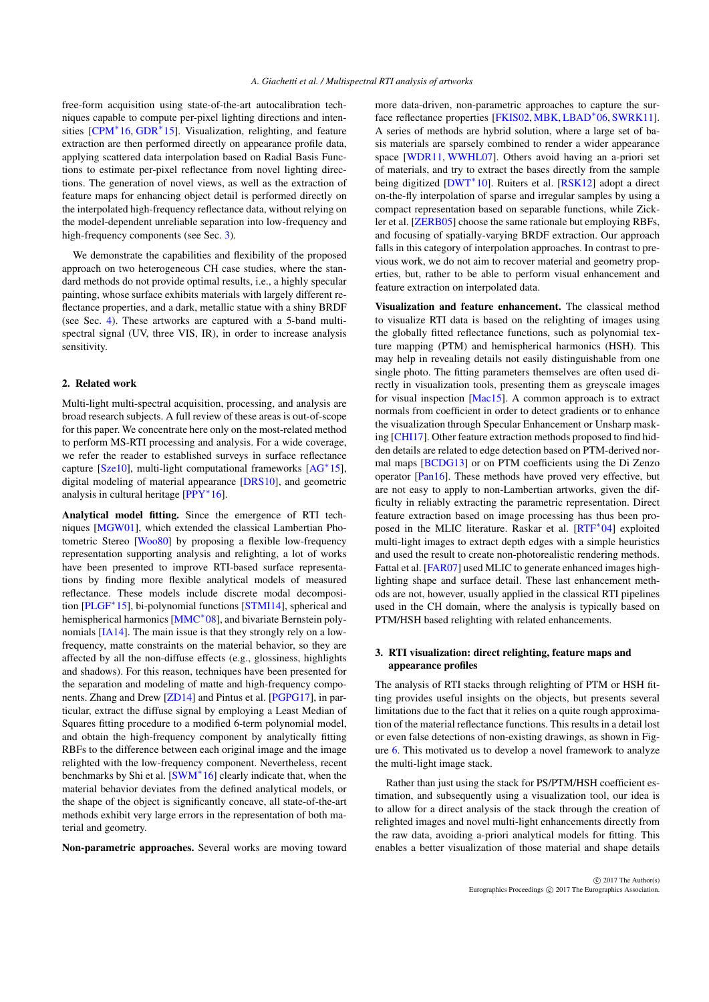<span id="page-1-2"></span>free-form acquisition using state-of-the-art autocalibration techniques capable to compute per-pixel lighting directions and inten-sities [\[CPM](#page-7-3)<sup>∗</sup>16, [GDR](#page-8-4)<sup>∗</sup>15]. Visualization, relighting, and feature extraction are then performed directly on appearance profile data, applying scattered data interpolation based on Radial Basis Functions to estimate per-pixel reflectance from novel lighting directions. The generation of novel views, as well as the extraction of feature maps for enhancing object detail is performed directly on the interpolated high-frequency reflectance data, without relying on the model-dependent unreliable separation into low-frequency and high-frequency components (see Sec. [3\)](#page-1-1).

We demonstrate the capabilities and flexibility of the proposed approach on two heterogeneous CH case studies, where the standard methods do not provide optimal results, i.e., a highly specular painting, whose surface exhibits materials with largely different reflectance properties, and a dark, metallic statue with a shiny BRDF (see Sec. [4\)](#page-2-0). These artworks are captured with a 5-band multispectral signal (UV, three VIS, IR), in order to increase analysis sensitivity.

## <span id="page-1-0"></span>2. Related work

Multi-light multi-spectral acquisition, processing, and analysis are broad research subjects. A full review of these areas is out-of-scope for this paper. We concentrate here only on the most-related method to perform MS-RTI processing and analysis. For a wide coverage, we refer the reader to established surveys in surface reflectance capture [\[Sze10\]](#page-9-1), multi-light computational frameworks [\[AG](#page-7-4)<sup>∗</sup> 15], digital modeling of material appearance [\[DRS10\]](#page-7-5), and geometric analysis in cultural heritage [\[PPY](#page-8-5)<sup>\*</sup>16].

Analytical model fitting. Since the emergence of RTI techniques [\[MGW01\]](#page-8-6), which extended the classical Lambertian Photometric Stereo [\[Woo80\]](#page-9-2) by proposing a flexible low-frequency representation supporting analysis and relighting, a lot of works have been presented to improve RTI-based surface representations by finding more flexible analytical models of measured reflectance. These models include discrete modal decomposition [\[PLGF](#page-8-7)<sup>∗</sup> 15], bi-polynomial functions [\[STMI14\]](#page-9-3), spherical and hemispherical harmonics [\[MMC](#page-8-8)<sup>∗</sup>08], and bivariate Bernstein polynomials [\[IA14\]](#page-8-9). The main issue is that they strongly rely on a lowfrequency, matte constraints on the material behavior, so they are affected by all the non-diffuse effects (e.g., glossiness, highlights and shadows). For this reason, techniques have been presented for the separation and modeling of matte and high-frequency components. Zhang and Drew [\[ZD14\]](#page-9-4) and Pintus et al. [\[PGPG17\]](#page-8-10), in particular, extract the diffuse signal by employing a Least Median of Squares fitting procedure to a modified 6-term polynomial model, and obtain the high-frequency component by analytically fitting RBFs to the difference between each original image and the image relighted with the low-frequency component. Nevertheless, recent benchmarks by Shi et al.  $5W/M^*16$ ] clearly indicate that, when the material behavior deviates from the defined analytical models, or the shape of the object is significantly concave, all state-of-the-art methods exhibit very large errors in the representation of both material and geometry.

Non-parametric approaches. Several works are moving toward

more data-driven, non-parametric approaches to capture the surface reflectance properties [\[FKIS02,](#page-7-6) [MBK,](#page-8-11) [LBAD](#page-8-12)<sup>∗</sup> 06, [SWRK11\]](#page-9-5). A series of methods are hybrid solution, where a large set of basis materials are sparsely combined to render a wider appearance space [\[WDR11,](#page-9-6) [WWHL07\]](#page-9-7). Others avoid having an a-priori set of materials, and try to extract the bases directly from the sample being digitized [\[DWT](#page-7-7)<sup>∗</sup> 10]. Ruiters et al. [\[RSK12\]](#page-8-13) adopt a direct on-the-fly interpolation of sparse and irregular samples by using a compact representation based on separable functions, while Zickler et al. [\[ZERB05\]](#page-9-8) choose the same rationale but employing RBFs, and focusing of spatially-varying BRDF extraction. Our approach falls in this category of interpolation approaches. In contrast to previous work, we do not aim to recover material and geometry properties, but, rather to be able to perform visual enhancement and feature extraction on interpolated data.

Visualization and feature enhancement. The classical method to visualize RTI data is based on the relighting of images using the globally fitted reflectance functions, such as polynomial texture mapping (PTM) and hemispherical harmonics (HSH). This may help in revealing details not easily distinguishable from one single photo. The fitting parameters themselves are often used directly in visualization tools, presenting them as greyscale images for visual inspection [\[Mac15\]](#page-8-3). A common approach is to extract normals from coefficient in order to detect gradients or to enhance the visualization through Specular Enhancement or Unsharp masking [\[CHI17\]](#page-7-2). Other feature extraction methods proposed to find hidden details are related to edge detection based on PTM-derived normal maps [\[BCDG13\]](#page-7-8) or on PTM coefficients using the Di Zenzo operator [\[Pan16\]](#page-8-14). These methods have proved very effective, but are not easy to apply to non-Lambertian artworks, given the difficulty in reliably extracting the parametric representation. Direct feature extraction based on image processing has thus been pro-posed in the MLIC literature. Raskar et al. [\[RTF](#page-8-15)<sup>∗</sup>04] exploited multi-light images to extract depth edges with a simple heuristics and used the result to create non-photorealistic rendering methods. Fattal et al. [\[FAR07\]](#page-7-9) used MLIC to generate enhanced images highlighting shape and surface detail. These last enhancement methods are not, however, usually applied in the classical RTI pipelines used in the CH domain, where the analysis is typically based on PTM/HSH based relighting with related enhancements.

## <span id="page-1-1"></span>3. RTI visualization: direct relighting, feature maps and appearance profiles

The analysis of RTI stacks through relighting of PTM or HSH fitting provides useful insights on the objects, but presents several limitations due to the fact that it relies on a quite rough approximation of the material reflectance functions. This results in a detail lost or even false detections of non-existing drawings, as shown in Figure [6.](#page-5-0) This motivated us to develop a novel framework to analyze the multi-light image stack.

Rather than just using the stack for PS/PTM/HSH coefficient estimation, and subsequently using a visualization tool, our idea is to allow for a direct analysis of the stack through the creation of relighted images and novel multi-light enhancements directly from the raw data, avoiding a-priori analytical models for fitting. This enables a better visualization of those material and shape details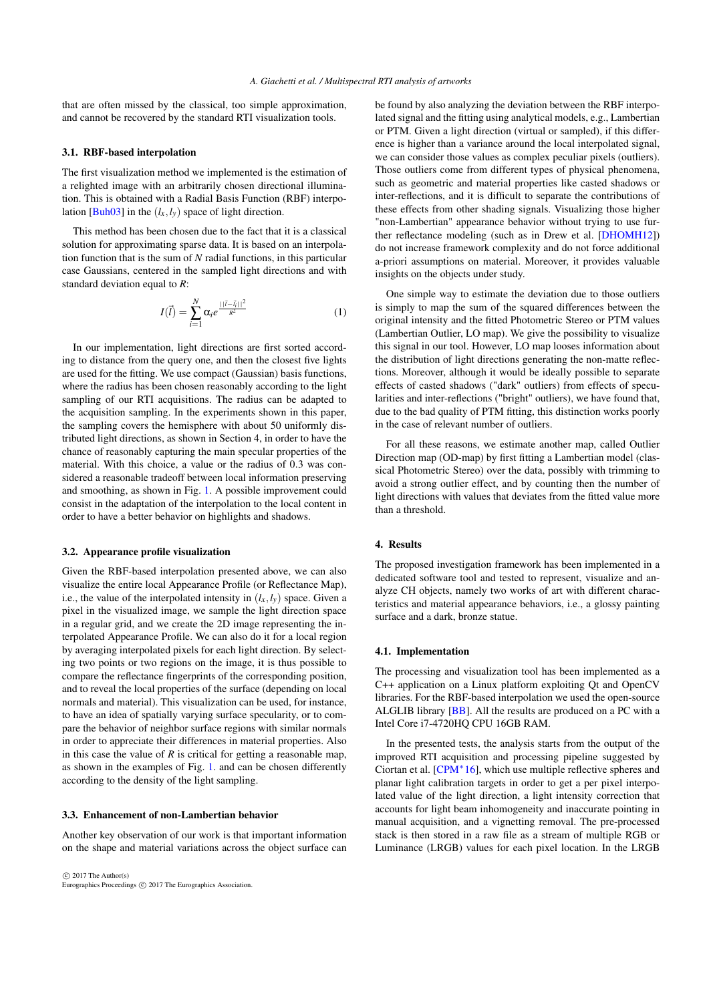<span id="page-2-1"></span>that are often missed by the classical, too simple approximation, and cannot be recovered by the standard RTI visualization tools.

#### 3.1. RBF-based interpolation

The first visualization method we implemented is the estimation of a relighted image with an arbitrarily chosen directional illumination. This is obtained with a Radial Basis Function (RBF) interpo-lation [\[Buh03\]](#page-7-10) in the  $(l_x, l_y)$  space of light direction.

This method has been chosen due to the fact that it is a classical solution for approximating sparse data. It is based on an interpolation function that is the sum of *N* radial functions, in this particular case Gaussians, centered in the sampled light directions and with standard deviation equal to *R*:

$$
I(\vec{l}) = \sum_{i=1}^{N} \alpha_i e^{\frac{||\vec{l} - \vec{l}_i||^2}{R^2}}
$$
 (1)

In our implementation, light directions are first sorted according to distance from the query one, and then the closest five lights are used for the fitting. We use compact (Gaussian) basis functions, where the radius has been chosen reasonably according to the light sampling of our RTI acquisitions. The radius can be adapted to the acquisition sampling. In the experiments shown in this paper, the sampling covers the hemisphere with about 50 uniformly distributed light directions, as shown in Section 4, in order to have the chance of reasonably capturing the main specular properties of the material. With this choice, a value or the radius of 0.3 was considered a reasonable tradeoff between local information preserving and smoothing, as shown in Fig. [1.](#page-3-0) A possible improvement could consist in the adaptation of the interpolation to the local content in order to have a better behavior on highlights and shadows.

### 3.2. Appearance profile visualization

Given the RBF-based interpolation presented above, we can also visualize the entire local Appearance Profile (or Reflectance Map), i.e., the value of the interpolated intensity in  $(l_x, l_y)$  space. Given a pixel in the visualized image, we sample the light direction space in a regular grid, and we create the 2D image representing the interpolated Appearance Profile. We can also do it for a local region by averaging interpolated pixels for each light direction. By selecting two points or two regions on the image, it is thus possible to compare the reflectance fingerprints of the corresponding position, and to reveal the local properties of the surface (depending on local normals and material). This visualization can be used, for instance, to have an idea of spatially varying surface specularity, or to compare the behavior of neighbor surface regions with similar normals in order to appreciate their differences in material properties. Also in this case the value of  $R$  is critical for getting a reasonable map, as shown in the examples of Fig. [1.](#page-3-0) and can be chosen differently according to the density of the light sampling.

## 3.3. Enhancement of non-Lambertian behavior

Another key observation of our work is that important information on the shape and material variations across the object surface can

 $\circ$  2017 The Author(s) Eurographics Proceedings (C) 2017 The Eurographics Association. be found by also analyzing the deviation between the RBF interpolated signal and the fitting using analytical models, e.g., Lambertian or PTM. Given a light direction (virtual or sampled), if this difference is higher than a variance around the local interpolated signal, we can consider those values as complex peculiar pixels (outliers). Those outliers come from different types of physical phenomena, such as geometric and material properties like casted shadows or inter-reflections, and it is difficult to separate the contributions of these effects from other shading signals. Visualizing those higher "non-Lambertian" appearance behavior without trying to use further reflectance modeling (such as in Drew et al. [\[DHOMH12\]](#page-7-11)) do not increase framework complexity and do not force additional a-priori assumptions on material. Moreover, it provides valuable insights on the objects under study.

One simple way to estimate the deviation due to those outliers is simply to map the sum of the squared differences between the original intensity and the fitted Photometric Stereo or PTM values (Lambertian Outlier, LO map). We give the possibility to visualize this signal in our tool. However, LO map looses information about the distribution of light directions generating the non-matte reflections. Moreover, although it would be ideally possible to separate effects of casted shadows ("dark" outliers) from effects of specularities and inter-reflections ("bright" outliers), we have found that, due to the bad quality of PTM fitting, this distinction works poorly in the case of relevant number of outliers.

For all these reasons, we estimate another map, called Outlier Direction map (OD-map) by first fitting a Lambertian model (classical Photometric Stereo) over the data, possibly with trimming to avoid a strong outlier effect, and by counting then the number of light directions with values that deviates from the fitted value more than a threshold.

# <span id="page-2-0"></span>4. Results

The proposed investigation framework has been implemented in a dedicated software tool and tested to represent, visualize and analyze CH objects, namely two works of art with different characteristics and material appearance behaviors, i.e., a glossy painting surface and a dark, bronze statue.

#### 4.1. Implementation

The processing and visualization tool has been implemented as a C++ application on a Linux platform exploiting Qt and OpenCV libraries. For the RBF-based interpolation we used the open-source ALGLIB library [\[BB\]](#page-7-12). All the results are produced on a PC with a Intel Core i7-4720HQ CPU 16GB RAM.

In the presented tests, the analysis starts from the output of the improved RTI acquisition and processing pipeline suggested by Ciortan et al.  $[CPM^*16]$  $[CPM^*16]$ , which use multiple reflective spheres and planar light calibration targets in order to get a per pixel interpolated value of the light direction, a light intensity correction that accounts for light beam inhomogeneity and inaccurate pointing in manual acquisition, and a vignetting removal. The pre-processed stack is then stored in a raw file as a stream of multiple RGB or Luminance (LRGB) values for each pixel location. In the LRGB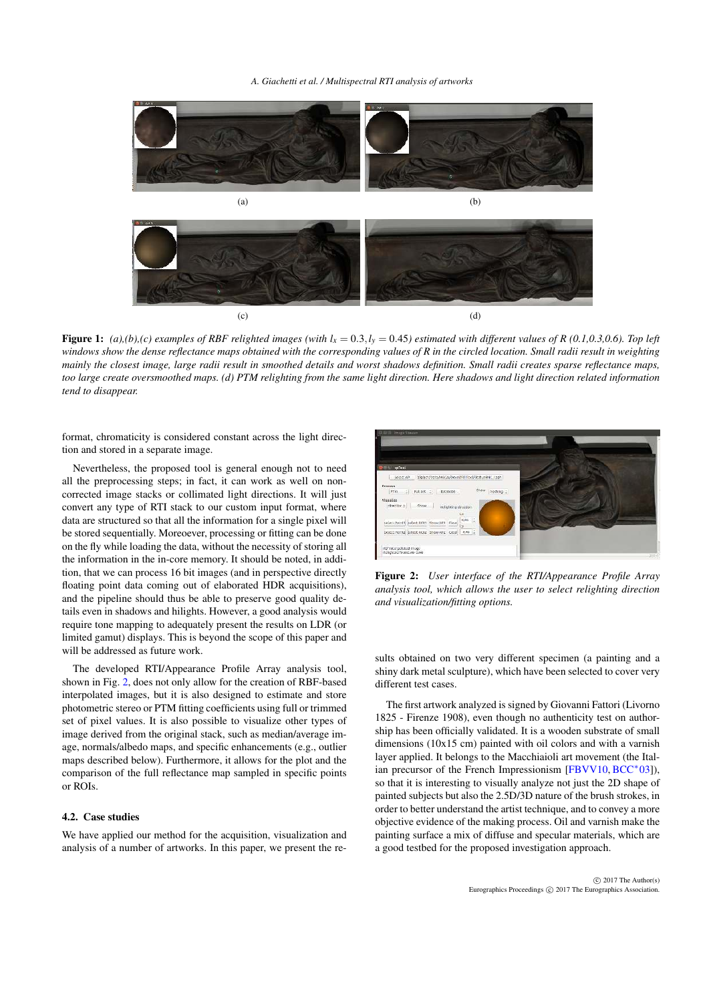*A. Giachetti et al. / Multispectral RTI analysis of artworks*

<span id="page-3-2"></span>

<span id="page-3-0"></span>Figure 1: (a),(b),(c) examples of RBF relighted images (with  $l_x = 0.3$ , $l_y = 0.45$ ) estimated with different values of R (0.1,0.3,0.6). Top left *windows show the dense reflectance maps obtained with the corresponding values of R in the circled location. Small radii result in weighting mainly the closest image, large radii result in smoothed details and worst shadows definition. Small radii creates sparse reflectance maps, too large create oversmoothed maps. (d) PTM relighting from the same light direction. Here shadows and light direction related information tend to disappear.*

format, chromaticity is considered constant across the light direction and stored in a separate image.

Nevertheless, the proposed tool is general enough not to need all the preprocessing steps; in fact, it can work as well on noncorrected image stacks or collimated light directions. It will just convert any type of RTI stack to our custom input format, where data are structured so that all the information for a single pixel will be stored sequentially. Moreoever, processing or fitting can be done on the fly while loading the data, without the necessity of storing all the information in the in-core memory. It should be noted, in addition, that we can process 16 bit images (and in perspective directly floating point data coming out of elaborated HDR acquisitions), and the pipeline should thus be able to preserve good quality details even in shadows and hilights. However, a good analysis would require tone mapping to adequately present the results on LDR (or limited gamut) displays. This is beyond the scope of this paper and will be addressed as future work.

The developed RTI/Appearance Profile Array analysis tool, shown in Fig. [2,](#page-3-1) does not only allow for the creation of RBF-based interpolated images, but it is also designed to estimate and store photometric stereo or PTM fitting coefficients using full or trimmed set of pixel values. It is also possible to visualize other types of image derived from the original stack, such as median/average image, normals/albedo maps, and specific enhancements (e.g., outlier maps described below). Furthermore, it allows for the plot and the comparison of the full reflectance map sampled in specific points or ROIs.

# 4.2. Case studies

We have applied our method for the acquisition, visualization and analysis of a number of artworks. In this paper, we present the re-



<span id="page-3-1"></span>Figure 2: *User interface of the RTI/Appearance Profile Array analysis tool, which allows the user to select relighting direction and visualization/fitting options.*

sults obtained on two very different specimen (a painting and a shiny dark metal sculpture), which have been selected to cover very different test cases.

The first artwork analyzed is signed by Giovanni Fattori (Livorno 1825 - Firenze 1908), even though no authenticity test on authorship has been officially validated. It is a wooden substrate of small dimensions (10x15 cm) painted with oil colors and with a varnish layer applied. It belongs to the Macchiaioli art movement (the Ital- $\frac{1}{2}$  ian precursor of the French Impressionism [\[FBVV10,](#page-7-13) [BCC](#page-7-14)<sup>\*</sup>03]), so that it is interesting to visually analyze not just the 2D shape of painted subjects but also the 2.5D/3D nature of the brush strokes, in order to better understand the artist technique, and to convey a more objective evidence of the making process. Oil and varnish make the painting surface a mix of diffuse and specular materials, which are a good testbed for the proposed investigation approach.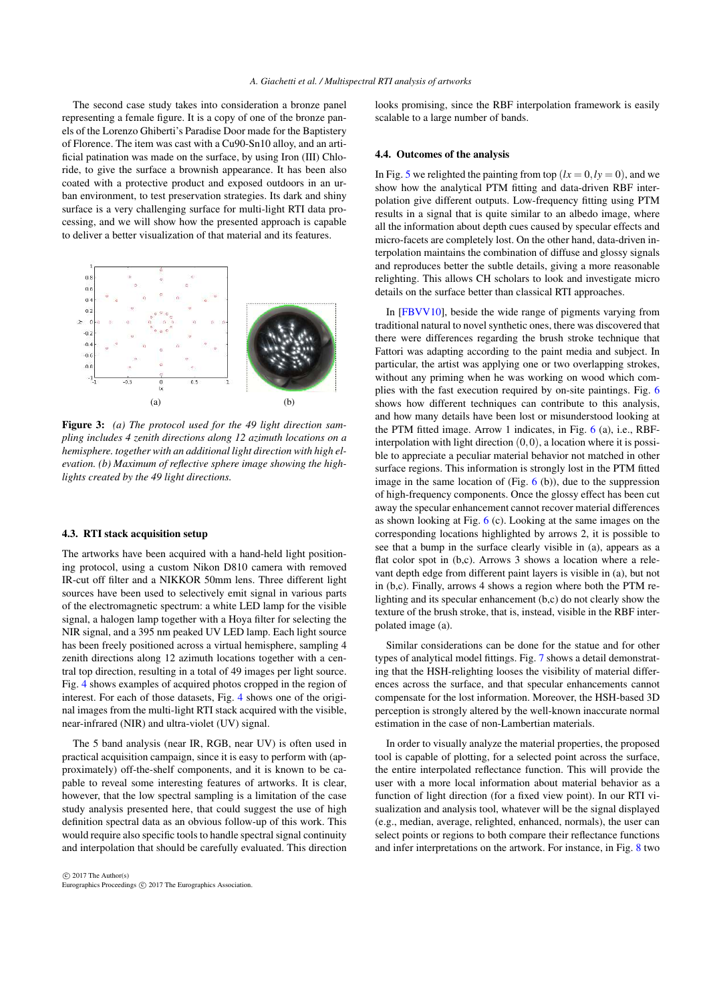<span id="page-4-0"></span>The second case study takes into consideration a bronze panel representing a female figure. It is a copy of one of the bronze panels of the Lorenzo Ghiberti's Paradise Door made for the Baptistery of Florence. The item was cast with a Cu90-Sn10 alloy, and an artificial patination was made on the surface, by using Iron (III) Chloride, to give the surface a brownish appearance. It has been also coated with a protective product and exposed outdoors in an urban environment, to test preservation strategies. Its dark and shiny surface is a very challenging surface for multi-light RTI data processing, and we will show how the presented approach is capable to deliver a better visualization of that material and its features.



Figure 3: *(a) The protocol used for the 49 light direction sampling includes 4 zenith directions along 12 azimuth locations on a hemisphere. together with an additional light direction with high elevation. (b) Maximum of reflective sphere image showing the highlights created by the 49 light directions.*

#### 4.3. RTI stack acquisition setup

The artworks have been acquired with a hand-held light positioning protocol, using a custom Nikon D810 camera with removed IR-cut off filter and a NIKKOR 50mm lens. Three different light sources have been used to selectively emit signal in various parts of the electromagnetic spectrum: a white LED lamp for the visible signal, a halogen lamp together with a Hoya filter for selecting the NIR signal, and a 395 nm peaked UV LED lamp. Each light source has been freely positioned across a virtual hemisphere, sampling 4 zenith directions along 12 azimuth locations together with a central top direction, resulting in a total of 49 images per light source. Fig. [4](#page-5-1) shows examples of acquired photos cropped in the region of interest. For each of those datasets, Fig. [4](#page-5-1) shows one of the original images from the multi-light RTI stack acquired with the visible, near-infrared (NIR) and ultra-violet (UV) signal.

The 5 band analysis (near IR, RGB, near UV) is often used in practical acquisition campaign, since it is easy to perform with (approximately) off-the-shelf components, and it is known to be capable to reveal some interesting features of artworks. It is clear, however, that the low spectral sampling is a limitation of the case study analysis presented here, that could suggest the use of high definition spectral data as an obvious follow-up of this work. This would require also specific tools to handle spectral signal continuity and interpolation that should be carefully evaluated. This direction looks promising, since the RBF interpolation framework is easily scalable to a large number of bands.

## 4.4. Outcomes of the analysis

In Fig. [5](#page-5-2) we relighted the painting from top  $(lx = 0, ly = 0)$ , and we show how the analytical PTM fitting and data-driven RBF interpolation give different outputs. Low-frequency fitting using PTM results in a signal that is quite similar to an albedo image, where all the information about depth cues caused by specular effects and micro-facets are completely lost. On the other hand, data-driven interpolation maintains the combination of diffuse and glossy signals and reproduces better the subtle details, giving a more reasonable relighting. This allows CH scholars to look and investigate micro details on the surface better than classical RTI approaches.

In [\[FBVV10\]](#page-7-13), beside the wide range of pigments varying from traditional natural to novel synthetic ones, there was discovered that there were differences regarding the brush stroke technique that Fattori was adapting according to the paint media and subject. In particular, the artist was applying one or two overlapping strokes, without any priming when he was working on wood which complies with the fast execution required by on-site paintings. Fig. [6](#page-5-0) shows how different techniques can contribute to this analysis, and how many details have been lost or misunderstood looking at the PTM fitted image. Arrow 1 indicates, in Fig. [6](#page-5-0) (a), i.e., RBFinterpolation with light direction  $(0,0)$ , a location where it is possible to appreciate a peculiar material behavior not matched in other surface regions. This information is strongly lost in the PTM fitted image in the same location of (Fig.  $6$  (b)), due to the suppression of high-frequency components. Once the glossy effect has been cut away the specular enhancement cannot recover material differences as shown looking at Fig. [6](#page-5-0) (c). Looking at the same images on the corresponding locations highlighted by arrows 2, it is possible to see that a bump in the surface clearly visible in (a), appears as a flat color spot in (b,c). Arrows 3 shows a location where a relevant depth edge from different paint layers is visible in (a), but not in (b,c). Finally, arrows 4 shows a region where both the PTM relighting and its specular enhancement (b,c) do not clearly show the texture of the brush stroke, that is, instead, visible in the RBF interpolated image (a).

Similar considerations can be done for the statue and for other types of analytical model fittings. Fig. [7](#page-6-0) shows a detail demonstrating that the HSH-relighting looses the visibility of material differences across the surface, and that specular enhancements cannot compensate for the lost information. Moreover, the HSH-based 3D perception is strongly altered by the well-known inaccurate normal estimation in the case of non-Lambertian materials.

In order to visually analyze the material properties, the proposed tool is capable of plotting, for a selected point across the surface, the entire interpolated reflectance function. This will provide the user with a more local information about material behavior as a function of light direction (for a fixed view point). In our RTI visualization and analysis tool, whatever will be the signal displayed (e.g., median, average, relighted, enhanced, normals), the user can select points or regions to both compare their reflectance functions and infer interpretations on the artwork. For instance, in Fig. [8](#page-6-1) two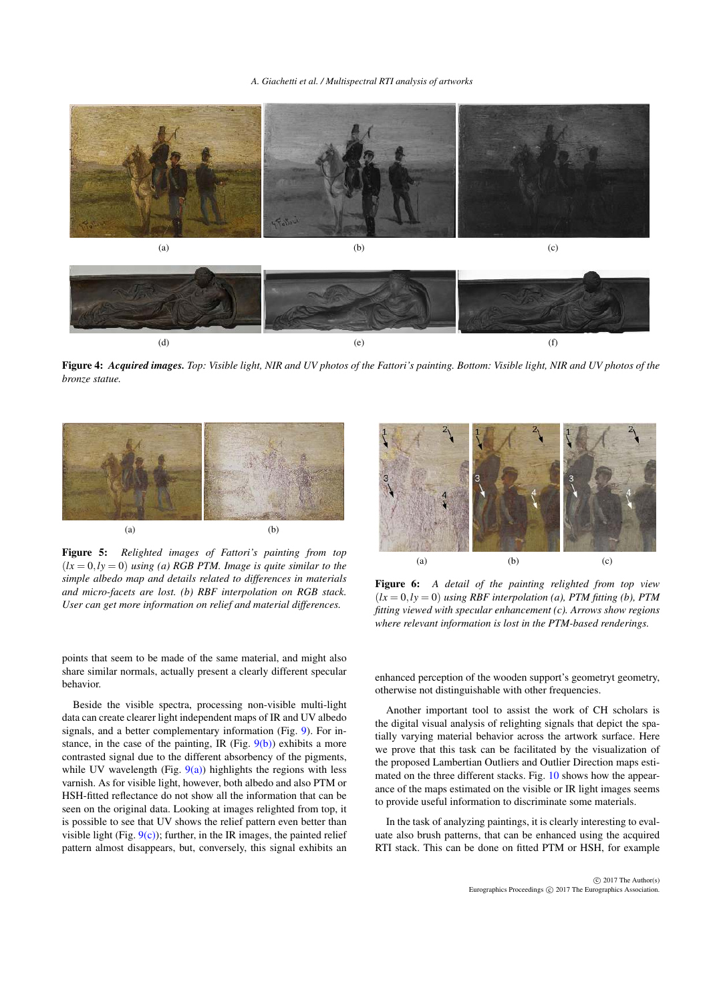#### *A. Giachetti et al. / Multispectral RTI analysis of artworks*



<span id="page-5-1"></span>Figure 4: *Acquired images. Top: Visible light, NIR and UV photos of the Fattori's painting. Bottom: Visible light, NIR and UV photos of the bronze statue.*



<span id="page-5-2"></span>Figure 5: *Relighted images of Fattori's painting from top*  $(lx = 0, ly = 0)$  *using (a) RGB PTM. Image is quite similar to the simple albedo map and details related to differences in materials and micro-facets are lost. (b) RBF interpolation on RGB stack. User can get more information on relief and material differences.*



<span id="page-5-0"></span>Figure 6: *A detail of the painting relighted from top view*  $(lx = 0, ly = 0)$  *using RBF interpolation (a), PTM fitting (b), PTM fitting viewed with specular enhancement (c). Arrows show regions where relevant information is lost in the PTM-based renderings.*

points that seem to be made of the same material, and might also share similar normals, actually present a clearly different specular behavior.

Beside the visible spectra, processing non-visible multi-light data can create clearer light independent maps of IR and UV albedo signals, and a better complementary information (Fig. [9\)](#page-6-2). For instance, in the case of the painting, IR (Fig.  $9(b)$ ) exhibits a more contrasted signal due to the different absorbency of the pigments, while UV wavelength (Fig.  $9(a)$ ) highlights the regions with less varnish. As for visible light, however, both albedo and also PTM or HSH-fitted reflectance do not show all the information that can be seen on the original data. Looking at images relighted from top, it is possible to see that UV shows the relief pattern even better than visible light (Fig.  $9(c)$ ); further, in the IR images, the painted relief pattern almost disappears, but, conversely, this signal exhibits an

enhanced perception of the wooden support's geometryt geometry, otherwise not distinguishable with other frequencies.

Another important tool to assist the work of CH scholars is the digital visual analysis of relighting signals that depict the spatially varying material behavior across the artwork surface. Here we prove that this task can be facilitated by the visualization of the proposed Lambertian Outliers and Outlier Direction maps estimated on the three different stacks. Fig. [10](#page-7-15) shows how the appearance of the maps estimated on the visible or IR light images seems to provide useful information to discriminate some materials.

In the task of analyzing paintings, it is clearly interesting to evaluate also brush patterns, that can be enhanced using the acquired RTI stack. This can be done on fitted PTM or HSH, for example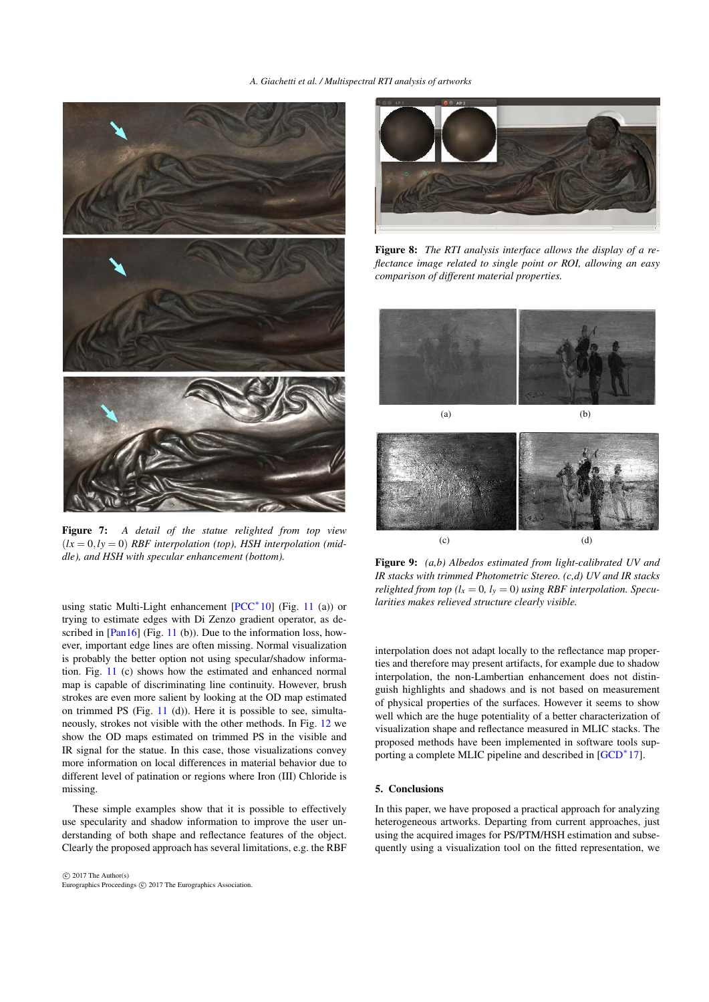<span id="page-6-6"></span>

Figure 7: *A detail of the statue relighted from top view*  $(lx = 0, ly = 0)$  *RBF interpolation (top), HSH interpolation (middle), and HSH with specular enhancement (bottom).*

<span id="page-6-0"></span>using static Multi-Light enhancement [\[PCC](#page-8-16)<sup>\*</sup>10] (Fig. [11](#page-8-17) (a)) or trying to estimate edges with Di Zenzo gradient operator, as de-scribed in [\[Pan16\]](#page-8-14) (Fig. [11](#page-8-17) (b)). Due to the information loss, however, important edge lines are often missing. Normal visualization is probably the better option not using specular/shadow information. Fig. [11](#page-8-17) (c) shows how the estimated and enhanced normal map is capable of discriminating line continuity. However, brush strokes are even more salient by looking at the OD map estimated on trimmed PS (Fig. [11](#page-8-17) (d)). Here it is possible to see, simultaneously, strokes not visible with the other methods. In Fig. [12](#page-8-18) we show the OD maps estimated on trimmed PS in the visible and IR signal for the statue. In this case, those visualizations convey more information on local differences in material behavior due to different level of patination or regions where Iron (III) Chloride is missing.

These simple examples show that it is possible to effectively use specularity and shadow information to improve the user understanding of both shape and reflectance features of the object. Clearly the proposed approach has several limitations, e.g. the RBF



<span id="page-6-1"></span>Figure 8: *The RTI analysis interface allows the display of a reflectance image related to single point or ROI, allowing an easy comparison of different material properties.*

<span id="page-6-4"></span>

<span id="page-6-3"></span>

<span id="page-6-5"></span><span id="page-6-2"></span>Figure 9: *(a,b) Albedos estimated from light-calibrated UV and IR stacks with trimmed Photometric Stereo. (c,d) UV and IR stacks relighted from top* ( $l_x = 0$ ,  $l_y = 0$ ) using RBF interpolation. Specu*larities makes relieved structure clearly visible.*

interpolation does not adapt locally to the reflectance map properties and therefore may present artifacts, for example due to shadow interpolation, the non-Lambertian enhancement does not distinguish highlights and shadows and is not based on measurement of physical properties of the surfaces. However it seems to show well which are the huge potentiality of a better characterization of visualization shape and reflectance measured in MLIC stacks. The proposed methods have been implemented in software tools sup-porting a complete MLIC pipeline and described in [\[GCD](#page-7-16)<sup>\*</sup>17].

## 5. Conclusions

In this paper, we have proposed a practical approach for analyzing heterogeneous artworks. Departing from current approaches, just using the acquired images for PS/PTM/HSH estimation and subsequently using a visualization tool on the fitted representation, we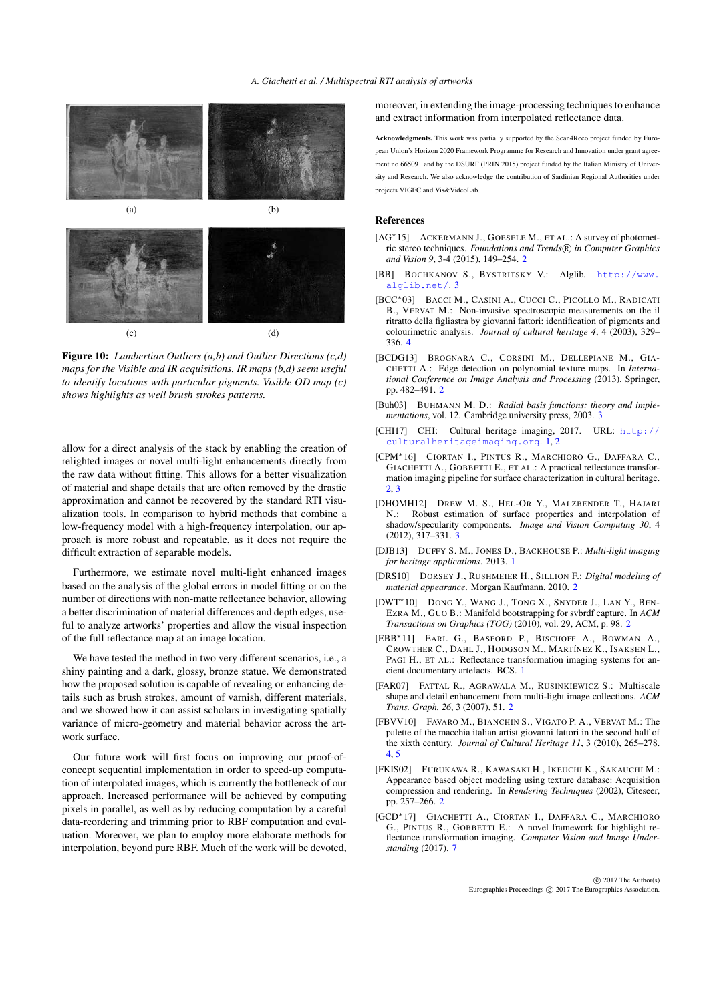

Figure 10: *Lambertian Outliers (a,b) and Outlier Directions (c,d) maps for the Visible and IR acquisitions. IR maps (b,d) seem useful to identify locations with particular pigments. Visible OD map (c) shows highlights as well brush strokes patterns.*

<span id="page-7-15"></span>allow for a direct analysis of the stack by enabling the creation of relighted images or novel multi-light enhancements directly from the raw data without fitting. This allows for a better visualization of material and shape details that are often removed by the drastic approximation and cannot be recovered by the standard RTI visualization tools. In comparison to hybrid methods that combine a low-frequency model with a high-frequency interpolation, our approach is more robust and repeatable, as it does not require the difficult extraction of separable models.

Furthermore, we estimate novel multi-light enhanced images based on the analysis of the global errors in model fitting or on the number of directions with non-matte reflectance behavior, allowing a better discrimination of material differences and depth edges, useful to analyze artworks' properties and allow the visual inspection of the full reflectance map at an image location.

We have tested the method in two very different scenarios, i.e., a shiny painting and a dark, glossy, bronze statue. We demonstrated how the proposed solution is capable of revealing or enhancing details such as brush strokes, amount of varnish, different materials, and we showed how it can assist scholars in investigating spatially variance of micro-geometry and material behavior across the artwork surface.

Our future work will first focus on improving our proof-ofconcept sequential implementation in order to speed-up computation of interpolated images, which is currently the bottleneck of our approach. Increased performance will be achieved by computing pixels in parallel, as well as by reducing computation by a careful data-reordering and trimming prior to RBF computation and evaluation. Moreover, we plan to employ more elaborate methods for interpolation, beyond pure RBF. Much of the work will be devoted, moreover, in extending the image-processing techniques to enhance and extract information from interpolated reflectance data.

Acknowledgments. This work was partially supported by the Scan4Reco project funded by European Union's Horizon 2020 Framework Programme for Research and Innovation under grant agreement no 665091 and by the DSURF (PRIN 2015) project funded by the Italian Ministry of University and Research. We also acknowledge the contribution of Sardinian Regional Authorities under projects VIGEC and Vis&VideoLab.

#### References

- <span id="page-7-4"></span>[AG<sup>\*</sup>15] ACKERMANN J., GOESELE M., ET AL.: A survey of photometric stereo techniques. *Foundations and Trends* R *in Computer Graphics and Vision 9*, 3-4 (2015), 149–254. [2](#page-1-2)
- <span id="page-7-12"></span>[BB] BOCHKANOV S., BYSTRITSKY V.: Alglib. [http://www.](http://www.alglib.net/) [alglib.net/](http://www.alglib.net/). [3](#page-2-1)
- <span id="page-7-14"></span>[BCC∗03] BACCI M., CASINI A., CUCCI C., PICOLLO M., RADICATI B., VERVAT M.: Non-invasive spectroscopic measurements on the il ritratto della figliastra by giovanni fattori: identification of pigments and colourimetric analysis. *Journal of cultural heritage 4*, 4 (2003), 329– 336. [4](#page-3-2)
- <span id="page-7-8"></span>[BCDG13] BROGNARA C., CORSINI M., DELLEPIANE M., GIA-CHETTI A.: Edge detection on polynomial texture maps. In *International Conference on Image Analysis and Processing* (2013), Springer, pp. 482–491. [2](#page-1-2)
- <span id="page-7-10"></span>[Buh03] BUHMANN M. D.: *Radial basis functions: theory and implementations*, vol. 12. Cambridge university press, 2003. [3](#page-2-1)
- <span id="page-7-2"></span>[CHI17] CHI: Cultural heritage imaging, 2017. URL: [http://](http://culturalheritageimaging.org) [culturalheritageimaging.org](http://culturalheritageimaging.org). [1,](#page-0-0) [2](#page-1-2)
- <span id="page-7-3"></span>[CPM∗16] CIORTAN I., PINTUS R., MARCHIORO G., DAFFARA C., GIACHETTI A., GOBBETTI E., ET AL.: A practical reflectance transformation imaging pipeline for surface characterization in cultural heritage. [2,](#page-1-2) [3](#page-2-1)
- <span id="page-7-11"></span>[DHOMH12] DREW M. S., HEL-OR Y., MALZBENDER T., HAJARI N.: Robust estimation of surface properties and interpolation of shadow/specularity components. *Image and Vision Computing 30*, 4 (2012), 317–331. [3](#page-2-1)
- <span id="page-7-0"></span>[DJB13] DUFFY S. M., JONES D., BACKHOUSE P.: *Multi-light imaging for heritage applications*. 2013. [1](#page-0-0)
- <span id="page-7-5"></span>[DRS10] DORSEY J., RUSHMEIER H., SILLION F.: *Digital modeling of material appearance*. Morgan Kaufmann, 2010. [2](#page-1-2)
- <span id="page-7-7"></span>[DWT∗10] DONG Y., WANG J., TONG X., SNYDER J., LAN Y., BEN-EZRA M., GUO B.: Manifold bootstrapping for svbrdf capture. In *ACM Transactions on Graphics (TOG)* (2010), vol. 29, ACM, p. 98. [2](#page-1-2)
- <span id="page-7-1"></span>[EBB∗11] EARL G., BASFORD P., BISCHOFF A., BOWMAN A., CROWTHER C., DAHL J., HODGSON M., MARTÍNEZ K., ISAKSEN L., PAGI H., ET AL.: Reflectance transformation imaging systems for ancient documentary artefacts. BCS. [1](#page-0-0)
- <span id="page-7-9"></span>[FAR07] FATTAL R., AGRAWALA M., RUSINKIEWICZ S.: Multiscale shape and detail enhancement from multi-light image collections. *ACM Trans. Graph. 26*, 3 (2007), 51. [2](#page-1-2)
- <span id="page-7-13"></span>[FBVV10] FAVARO M., BIANCHIN S., VIGATO P. A., VERVAT M.: The palette of the macchia italian artist giovanni fattori in the second half of the xixth century. *Journal of Cultural Heritage 11*, 3 (2010), 265–278. [4,](#page-3-2) [5](#page-4-0)
- <span id="page-7-6"></span>[FKIS02] FURUKAWA R., KAWASAKI H., IKEUCHI K., SAKAUCHI M.: Appearance based object modeling using texture database: Acquisition compression and rendering. In *Rendering Techniques* (2002), Citeseer, pp. 257–266. [2](#page-1-2)
- <span id="page-7-16"></span>[GCD∗17] GIACHETTI A., CIORTAN I., DAFFARA C., MARCHIORO G., PINTUS R., GOBBETTI E.: A novel framework for highlight reflectance transformation imaging. *Computer Vision and Image Understanding* (2017). [7](#page-6-6)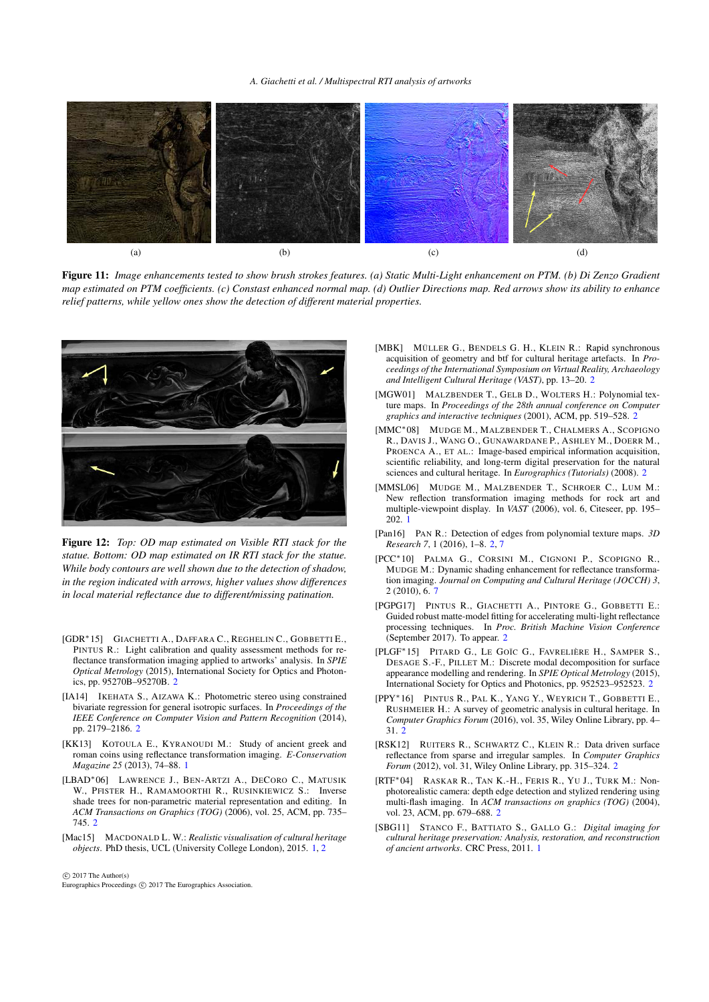#### *A. Giachetti et al. / Multispectral RTI analysis of artworks*



<span id="page-8-17"></span>Figure 11: *Image enhancements tested to show brush strokes features. (a) Static Multi-Light enhancement on PTM. (b) Di Zenzo Gradient map estimated on PTM coefficients. (c) Constast enhanced normal map. (d) Outlier Directions map. Red arrows show its ability to enhance relief patterns, while yellow ones show the detection of different material properties.*



<span id="page-8-18"></span>Figure 12: *Top: OD map estimated on Visible RTI stack for the statue. Bottom: OD map estimated on IR RTI stack for the statue. While body contours are well shown due to the detection of shadow, in the region indicated with arrows, higher values show differences in local material reflectance due to different/missing patination.*

- <span id="page-8-4"></span>[GDR∗15] GIACHETTI A., DAFFARA C., REGHELIN C., GOBBETTI E., PINTUS R.: Light calibration and quality assessment methods for reflectance transformation imaging applied to artworks' analysis. In *SPIE Optical Metrology* (2015), International Society for Optics and Photonics, pp. 95270B–95270B. [2](#page-1-2)
- <span id="page-8-9"></span>[IA14] IKEHATA S., AIZAWA K.: Photometric stereo using constrained bivariate regression for general isotropic surfaces. In *Proceedings of the IEEE Conference on Computer Vision and Pattern Recognition* (2014), pp. 2179–2186. [2](#page-1-2)
- <span id="page-8-0"></span>[KK13] KOTOULA E., KYRANOUDI M.: Study of ancient greek and roman coins using reflectance transformation imaging. *E-Conservation Magazine 25* (2013), 74–88. [1](#page-0-0)
- <span id="page-8-12"></span>[LBAD∗06] LAWRENCE J., BEN-ARTZI A., DECORO C., MATUSIK W., PFISTER H., RAMAMOORTHI R., RUSINKIEWICZ S.: Inverse shade trees for non-parametric material representation and editing. In *ACM Transactions on Graphics (TOG)* (2006), vol. 25, ACM, pp. 735– 745. [2](#page-1-2)
- <span id="page-8-3"></span>[Mac15] MACDONALD L. W.: *Realistic visualisation of cultural heritage objects*. PhD thesis, UCL (University College London), 2015. [1,](#page-0-0) [2](#page-1-2)

 $\circ$  2017 The Author(s)

Eurographics Proceedings (C) 2017 The Eurographics Association.

- <span id="page-8-11"></span>[MBK] MÜLLER G., BENDELS G. H., KLEIN R.: Rapid synchronous acquisition of geometry and btf for cultural heritage artefacts. In *Proceedings of the International Symposium on Virtual Reality, Archaeology and Intelligent Cultural Heritage (VAST)*, pp. 13–20. [2](#page-1-2)
- <span id="page-8-6"></span>[MGW01] MALZBENDER T., GELB D., WOLTERS H.: Polynomial texture maps. In *Proceedings of the 28th annual conference on Computer graphics and interactive techniques* (2001), ACM, pp. 519–528. [2](#page-1-2)
- <span id="page-8-8"></span>[MMC∗08] MUDGE M., MALZBENDER T., CHALMERS A., SCOPIGNO R., DAVIS J., WANG O., GUNAWARDANE P., ASHLEY M., DOERR M., PROENCA A., ET AL.: Image-based empirical information acquisition, scientific reliability, and long-term digital preservation for the natural sciences and cultural heritage. In *Eurographics (Tutorials)* (2008). [2](#page-1-2)
- <span id="page-8-2"></span>[MMSL06] MUDGE M., MALZBENDER T., SCHROER C., LUM M.: New reflection transformation imaging methods for rock art and multiple-viewpoint display. In *VAST* (2006), vol. 6, Citeseer, pp. 195– 202. [1](#page-0-0)
- <span id="page-8-14"></span>[Pan16] PAN R.: Detection of edges from polynomial texture maps. *3D Research 7*, 1 (2016), 1–8. [2,](#page-1-2) [7](#page-6-6)
- <span id="page-8-16"></span>[PCC∗10] PALMA G., CORSINI M., CIGNONI P., SCOPIGNO R., MUDGE M.: Dynamic shading enhancement for reflectance transformation imaging. *Journal on Computing and Cultural Heritage (JOCCH) 3*, 2 (2010), 6. [7](#page-6-6)
- <span id="page-8-10"></span>[PGPG17] PINTUS R., GIACHETTI A., PINTORE G., GOBBETTI E.: Guided robust matte-model fitting for accelerating multi-light reflectance processing techniques. In *Proc. British Machine Vision Conference* (September 2017). To appear. [2](#page-1-2)
- <span id="page-8-7"></span>[PLGF∗15] PITARD G., LE GOÏC G., FAVRELIÈRE H., SAMPER S., DESAGE S.-F., PILLET M.: Discrete modal decomposition for surface appearance modelling and rendering. In *SPIE Optical Metrology* (2015), International Society for Optics and Photonics, pp. 952523–952523. [2](#page-1-2)
- <span id="page-8-5"></span>[PPY∗16] PINTUS R., PAL K., YANG Y., WEYRICH T., GOBBETTI E., RUSHMEIER H.: A survey of geometric analysis in cultural heritage. In *Computer Graphics Forum* (2016), vol. 35, Wiley Online Library, pp. 4– 31. [2](#page-1-2)
- <span id="page-8-13"></span>[RSK12] RUITERS R., SCHWARTZ C., KLEIN R.: Data driven surface reflectance from sparse and irregular samples. In *Computer Graphics Forum* (2012), vol. 31, Wiley Online Library, pp. 315–324. [2](#page-1-2)
- <span id="page-8-15"></span>[RTF∗04] RASKAR R., TAN K.-H., FERIS R., YU J., TURK M.: Nonphotorealistic camera: depth edge detection and stylized rendering using multi-flash imaging. In *ACM transactions on graphics (TOG)* (2004), vol. 23, ACM, pp. 679–688. [2](#page-1-2)
- <span id="page-8-1"></span>[SBG11] STANCO F., BATTIATO S., GALLO G.: *Digital imaging for cultural heritage preservation: Analysis, restoration, and reconstruction of ancient artworks*. CRC Press, 2011. [1](#page-0-0)